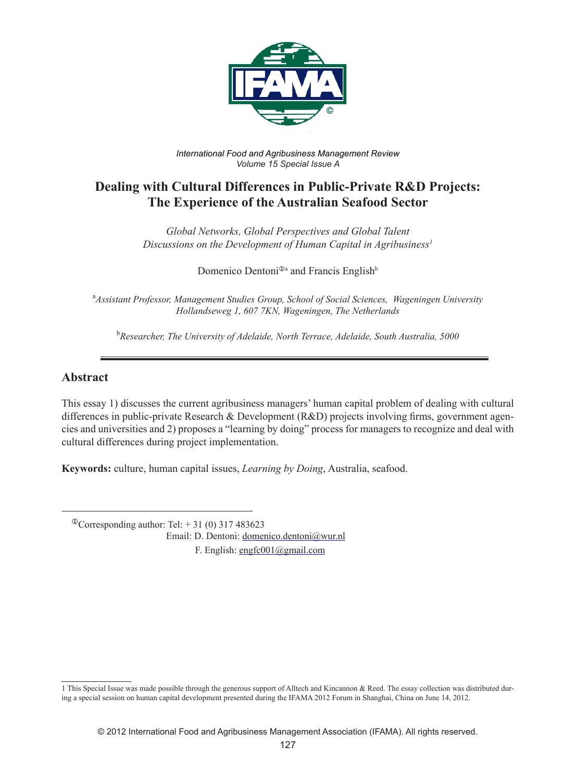

*International Food and Agribusiness Management Review Volume 15 Special Issue A*

# **Dealing with Cultural Differences in Public-Private R&D Projects: The Experience of the Australian Seafood Sector**

*Global Networks, Global Perspectives and Global Talent Discussions on the Development of Human Capital in Agribusiness1*

Domenico Dentoni<sup>®</sup> and Francis English<sup>b</sup>

a *Assistant Professor, Management Studies Group, School of Social Sciences, Wageningen University Hollandseweg 1, 607 7KN, Wageningen, The Netherlands*

b *Researcher, The University of Adelaide, North Terrace, Adelaide, South Australia, 5000*

### **Abstract**

This essay 1) discusses the current agribusiness managers' human capital problem of dealing with cultural differences in public-private Research & Development (R&D) projects involving firms, government agencies and universities and 2) proposes a "learning by doing" process for managers to recognize and deal with cultural differences during project implementation.

**Keywords:** culture, human capital issues, *Learning by Doing*, Australia, seafood.

 $\textcirc{Corresponding author: Tel: +31 (0) 317 483623}$ 

Email: D. Dentoni: domenico.dentoni@wur.nl

F. English: engfc001@gmail.com

<sup>1</sup> This Special Issue was made possible through the generous support of Alltech and Kincannon & Reed. The essay collection was distributed during a special session on human capital development presented during the IFAMA 2012 Forum in Shanghai, China on June 14, 2012.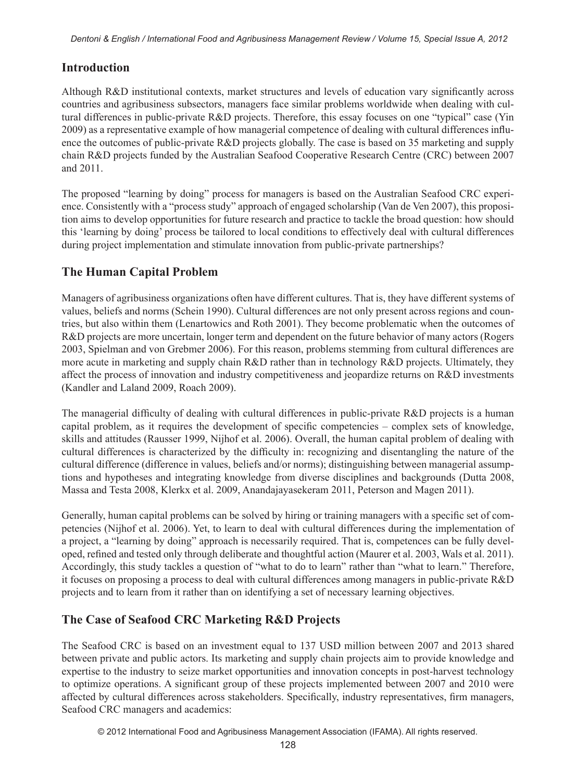# **Introduction**

Although R&D institutional contexts, market structures and levels of education vary significantly across countries and agribusiness subsectors, managers face similar problems worldwide when dealing with cultural differences in public-private R&D projects. Therefore, this essay focuses on one "typical" case (Yin 2009) as a representative example of how managerial competence of dealing with cultural differences influence the outcomes of public-private R&D projects globally. The case is based on 35 marketing and supply chain R&D projects funded by the Australian Seafood Cooperative Research Centre (CRC) between 2007 and 2011.

The proposed "learning by doing" process for managers is based on the Australian Seafood CRC experience. Consistently with a "process study" approach of engaged scholarship (Van de Ven 2007), this proposition aims to develop opportunities for future research and practice to tackle the broad question: how should this 'learning by doing' process be tailored to local conditions to effectively deal with cultural differences during project implementation and stimulate innovation from public-private partnerships?

## **The Human Capital Problem**

Managers of agribusiness organizations often have different cultures. That is, they have different systems of values, beliefs and norms (Schein 1990). Cultural differences are not only present across regions and countries, but also within them (Lenartowics and Roth 2001). They become problematic when the outcomes of R&D projects are more uncertain, longer term and dependent on the future behavior of many actors (Rogers 2003, Spielman and von Grebmer 2006). For this reason, problems stemming from cultural differences are more acute in marketing and supply chain R&D rather than in technology R&D projects. Ultimately, they affect the process of innovation and industry competitiveness and jeopardize returns on R&D investments (Kandler and Laland 2009, Roach 2009).

The managerial difficulty of dealing with cultural differences in public-private R&D projects is a human capital problem, as it requires the development of specific competencies – complex sets of knowledge, skills and attitudes (Rausser 1999, Nijhof et al. 2006). Overall, the human capital problem of dealing with cultural differences is characterized by the difficulty in: recognizing and disentangling the nature of the cultural difference (difference in values, beliefs and/or norms); distinguishing between managerial assumptions and hypotheses and integrating knowledge from diverse disciplines and backgrounds (Dutta 2008, Massa and Testa 2008, Klerkx et al. 2009, Anandajayasekeram 2011, Peterson and Magen 2011).

Generally, human capital problems can be solved by hiring or training managers with a specific set of competencies (Nijhof et al. 2006). Yet, to learn to deal with cultural differences during the implementation of a project, a "learning by doing" approach is necessarily required. That is, competences can be fully developed, refined and tested only through deliberate and thoughtful action (Maurer et al. 2003, Wals et al. 2011). Accordingly, this study tackles a question of "what to do to learn" rather than "what to learn." Therefore, it focuses on proposing a process to deal with cultural differences among managers in public-private R&D projects and to learn from it rather than on identifying a set of necessary learning objectives.

## **The Case of Seafood CRC Marketing R&D Projects**

The Seafood CRC is based on an investment equal to 137 USD million between 2007 and 2013 shared between private and public actors. Its marketing and supply chain projects aim to provide knowledge and expertise to the industry to seize market opportunities and innovation concepts in post-harvest technology to optimize operations. A significant group of these projects implemented between 2007 and 2010 were affected by cultural differences across stakeholders. Specifically, industry representatives, firm managers, Seafood CRC managers and academics: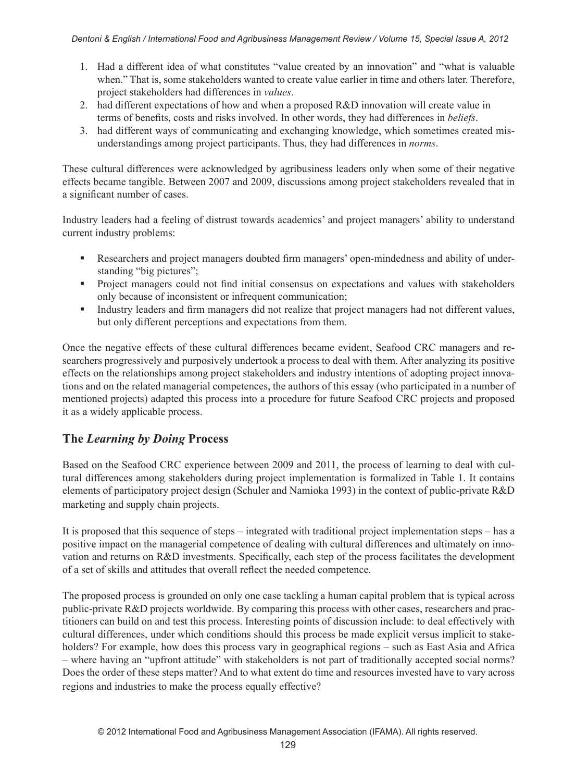- 1. Had a different idea of what constitutes "value created by an innovation" and "what is valuable when." That is, some stakeholders wanted to create value earlier in time and others later. Therefore, project stakeholders had differences in *values*.
- 2. had different expectations of how and when a proposed R&D innovation will create value in terms of benefits, costs and risks involved. In other words, they had differences in *beliefs*.
- 3. had different ways of communicating and exchanging knowledge, which sometimes created misunderstandings among project participants. Thus, they had differences in *norms*.

These cultural differences were acknowledged by agribusiness leaders only when some of their negative effects became tangible. Between 2007 and 2009, discussions among project stakeholders revealed that in a significant number of cases.

Industry leaders had a feeling of distrust towards academics' and project managers' ability to understand current industry problems:

- Researchers and project managers doubted firm managers' open-mindedness and ability of understanding "big pictures";
- Project managers could not find initial consensus on expectations and values with stakeholders only because of inconsistent or infrequent communication;
- Industry leaders and firm managers did not realize that project managers had not different values, but only different perceptions and expectations from them.

Once the negative effects of these cultural differences became evident, Seafood CRC managers and researchers progressively and purposively undertook a process to deal with them. After analyzing its positive effects on the relationships among project stakeholders and industry intentions of adopting project innovations and on the related managerial competences, the authors of this essay (who participated in a number of mentioned projects) adapted this process into a procedure for future Seafood CRC projects and proposed it as a widely applicable process.

## **The** *Learning by Doing* **Process**

Based on the Seafood CRC experience between 2009 and 2011, the process of learning to deal with cultural differences among stakeholders during project implementation is formalized in Table 1. It contains elements of participatory project design (Schuler and Namioka 1993) in the context of public-private R&D marketing and supply chain projects.

It is proposed that this sequence of steps – integrated with traditional project implementation steps – has a positive impact on the managerial competence of dealing with cultural differences and ultimately on innovation and returns on R&D investments. Specifically, each step of the process facilitates the development of a set of skills and attitudes that overall reflect the needed competence.

The proposed process is grounded on only one case tackling a human capital problem that is typical across public-private R&D projects worldwide. By comparing this process with other cases, researchers and practitioners can build on and test this process. Interesting points of discussion include: to deal effectively with cultural differences, under which conditions should this process be made explicit versus implicit to stakeholders? For example, how does this process vary in geographical regions – such as East Asia and Africa – where having an "upfront attitude" with stakeholders is not part of traditionally accepted social norms? Does the order of these steps matter? And to what extent do time and resources invested have to vary across regions and industries to make the process equally effective?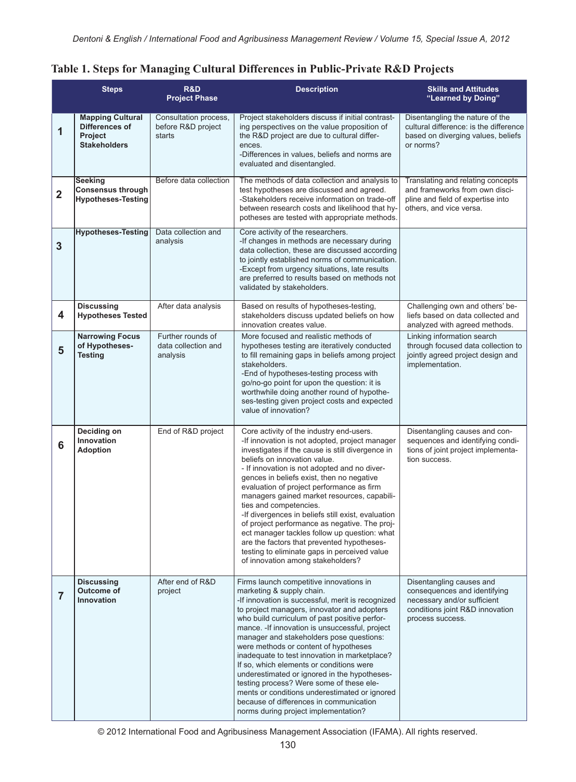|  |  | Table 1. Steps for Managing Cultural Differences in Public-Private R&D Projects |  |  |
|--|--|---------------------------------------------------------------------------------|--|--|
|  |  |                                                                                 |  |  |

|                         | <b>Steps</b>                                                                | R&D<br><b>Project Phase</b>                           | <b>Description</b>                                                                                                                                                                                                                                                                                                                                                                                                                                                                                                                                                                                                                                                                             | <b>Skills and Attitudes</b><br>"Learned by Doing"                                                                                              |
|-------------------------|-----------------------------------------------------------------------------|-------------------------------------------------------|------------------------------------------------------------------------------------------------------------------------------------------------------------------------------------------------------------------------------------------------------------------------------------------------------------------------------------------------------------------------------------------------------------------------------------------------------------------------------------------------------------------------------------------------------------------------------------------------------------------------------------------------------------------------------------------------|------------------------------------------------------------------------------------------------------------------------------------------------|
| 1                       | <b>Mapping Cultural</b><br>Differences of<br>Project<br><b>Stakeholders</b> | Consultation process,<br>before R&D project<br>starts | Project stakeholders discuss if initial contrast-<br>ing perspectives on the value proposition of<br>the R&D project are due to cultural differ-<br>ences.<br>-Differences in values, beliefs and norms are<br>evaluated and disentangled.                                                                                                                                                                                                                                                                                                                                                                                                                                                     | Disentangling the nature of the<br>cultural difference: is the difference<br>based on diverging values, beliefs<br>or norms?                   |
| $\overline{\mathbf{2}}$ | <b>Seeking</b><br><b>Consensus through</b><br><b>Hypotheses-Testing</b>     | Before data collection                                | The methods of data collection and analysis to<br>test hypotheses are discussed and agreed.<br>-Stakeholders receive information on trade-off<br>between research costs and likelihood that hy-<br>potheses are tested with appropriate methods.                                                                                                                                                                                                                                                                                                                                                                                                                                               | Translating and relating concepts<br>and frameworks from own disci-<br>pline and field of expertise into<br>others, and vice versa.            |
| 3                       | Hypotheses-Testing                                                          | Data collection and<br>analysis                       | Core activity of the researchers.<br>-If changes in methods are necessary during<br>data collection, these are discussed according<br>to jointly established norms of communication.<br>-Except from urgency situations, late results<br>are preferred to results based on methods not<br>validated by stakeholders.                                                                                                                                                                                                                                                                                                                                                                           |                                                                                                                                                |
| 4                       | <b>Discussing</b><br><b>Hypotheses Tested</b>                               | After data analysis                                   | Based on results of hypotheses-testing,<br>stakeholders discuss updated beliefs on how<br>innovation creates value.                                                                                                                                                                                                                                                                                                                                                                                                                                                                                                                                                                            | Challenging own and others' be-<br>liefs based on data collected and<br>analyzed with agreed methods.                                          |
| 5                       | <b>Narrowing Focus</b><br>of Hypotheses-<br><b>Testing</b>                  | Further rounds of<br>data collection and<br>analysis  | More focused and realistic methods of<br>hypotheses testing are iteratively conducted<br>to fill remaining gaps in beliefs among project<br>stakeholders.<br>-End of hypotheses-testing process with<br>go/no-go point for upon the question: it is<br>worthwhile doing another round of hypothe-<br>ses-testing given project costs and expected<br>value of innovation?                                                                                                                                                                                                                                                                                                                      | Linking information search<br>through focused data collection to<br>jointly agreed project design and<br>implementation.                       |
| 6                       | Deciding on<br>Innovation<br><b>Adoption</b>                                | End of R&D project                                    | Core activity of the industry end-users.<br>-If innovation is not adopted, project manager<br>investigates if the cause is still divergence in<br>beliefs on innovation value.<br>- If innovation is not adopted and no diver-<br>gences in beliefs exist, then no negative<br>evaluation of project performance as firm<br>managers gained market resources, capabili-<br>ties and competencies.<br>-If divergences in beliefs still exist, evaluation<br>of project performance as negative. The proj-<br>ect manager tackles follow up question: what<br>are the factors that prevented hypotheses-<br>testing to eliminate gaps in perceived value<br>of innovation among stakeholders?    | Disentangling causes and con-<br>sequences and identifying condi-<br>tions of joint project implementa-<br>tion success.                       |
| $\overline{7}$          | <b>Discussing</b><br>Outcome of<br>Innovation                               | After end of R&D<br>project                           | Firms launch competitive innovations in<br>marketing & supply chain.<br>-If innovation is successful, merit is recognized<br>to project managers, innovator and adopters<br>who build curriculum of past positive perfor-<br>mance. - If innovation is unsuccessful, project<br>manager and stakeholders pose questions:<br>were methods or content of hypotheses<br>inadequate to test innovation in marketplace?<br>If so, which elements or conditions were<br>underestimated or ignored in the hypotheses-<br>testing process? Were some of these ele-<br>ments or conditions underestimated or ignored<br>because of differences in communication<br>norms during project implementation? | Disentangling causes and<br>consequences and identifying<br>necessary and/or sufficient<br>conditions joint R&D innovation<br>process success. |

© 2012 International Food and Agribusiness Management Association (IFAMA). All rights reserved.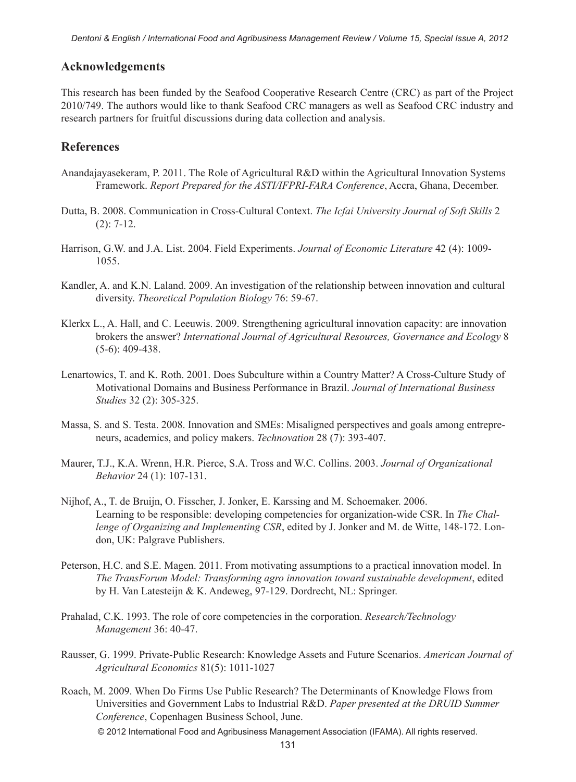#### **Acknowledgements**

This research has been funded by the Seafood Cooperative Research Centre (CRC) as part of the Project 2010/749. The authors would like to thank Seafood CRC managers as well as Seafood CRC industry and research partners for fruitful discussions during data collection and analysis.

#### **References**

- Anandajayasekeram, P. 2011. The Role of Agricultural R&D within the Agricultural Innovation Systems Framework. *Report Prepared for the ASTI/IFPRI-FARA Conference*, Accra, Ghana, December.
- Dutta, B. 2008. Communication in Cross-Cultural Context. *The Icfai University Journal of Soft Skills* 2 (2): 7-12.
- Harrison, G.W. and J.A. List. 2004. Field Experiments. *Journal of Economic Literature* 42 (4): 1009- 1055.
- Kandler, A. and K.N. Laland. 2009. An investigation of the relationship between innovation and cultural diversity. *Theoretical Population Biology* 76: 59-67.
- Klerkx L., A. Hall, and C. Leeuwis. 2009. Strengthening agricultural innovation capacity: are innovation brokers the answer? *International Journal of Agricultural Resources, Governance and Ecology* 8 (5-6): 409-438.
- Lenartowics, T. and K. Roth. 2001. Does Subculture within a Country Matter? A Cross-Culture Study of Motivational Domains and Business Performance in Brazil. *Journal of International Business Studies* 32 (2): 305-325.
- Massa, S. and S. Testa. 2008. Innovation and SMEs: Misaligned perspectives and goals among entrepreneurs, academics, and policy makers. *Technovation* 28 (7): 393-407.
- Maurer, T.J., K.A. Wrenn, H.R. Pierce, S.A. Tross and W.C. Collins. 2003. *Journal of Organizational Behavior* 24 (1): 107-131.
- Nijhof, A., T. de Bruijn, O. Fisscher, J. Jonker, E. Karssing and M. Schoemaker. 2006. Learning to be responsible: developing competencies for organization-wide CSR. In *The Challenge of Organizing and Implementing CSR*, edited by J. Jonker and M. de Witte, 148-172. London, UK: Palgrave Publishers.
- Peterson, H.C. and S.E. Magen. 2011. From motivating assumptions to a practical innovation model. In *The TransForum Model: Transforming agro innovation toward sustainable development*, edited by H. Van Latesteijn & K. Andeweg, 97-129. Dordrecht, NL: Springer.
- Prahalad, C.K. 1993. The role of core competencies in the corporation. *Research/Technology Management* 36: 40-47.
- Rausser, G. 1999. Private-Public Research: Knowledge Assets and Future Scenarios. *American Journal of Agricultural Economics* 81(5): 1011-1027
- © 2012 International Food and Agribusiness Management Association (IFAMA). All rights reserved. Roach, M. 2009. When Do Firms Use Public Research? The Determinants of Knowledge Flows from Universities and Government Labs to Industrial R&D. *Paper presented at the DRUID Summer Conference*, Copenhagen Business School, June.